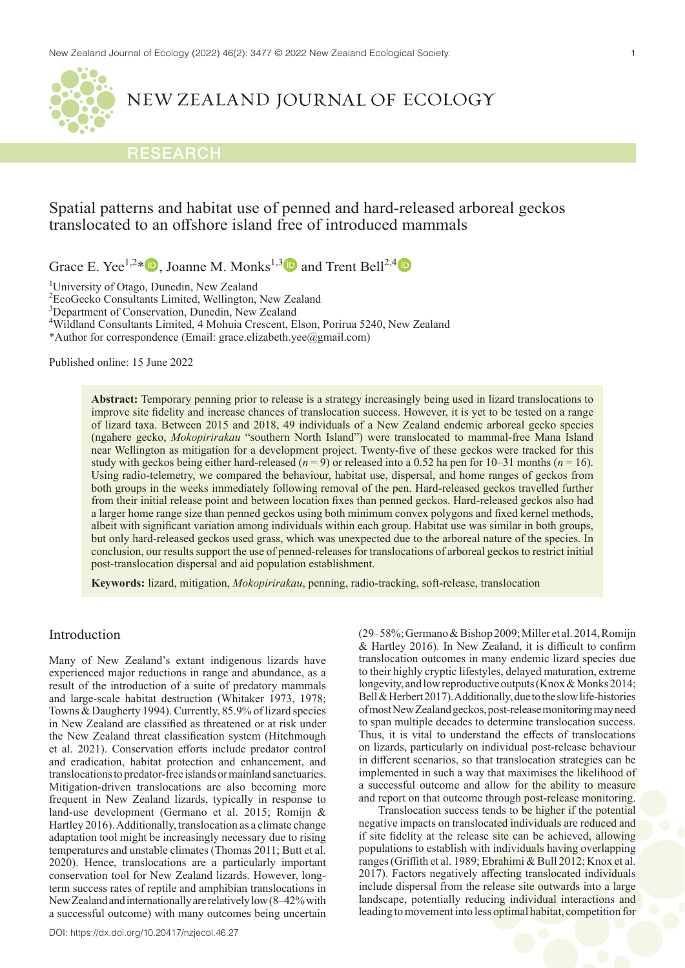

# NEW ZEALAND JOURNAL OF ECOLOGY

# RESEARCH

# Spatial patterns and habitat use of penned and hard-released arboreal geckos translocated to an offshore island free of introduced mammals

Grace E. Yee<sup>1,2\*</sup>  $\blacksquare$ , Joanne M. Monks<sup>1,3</sup> and Trent Bell<sup>2,[4](https://orcid.org/0000-0002-6064-6968)</sup>  $\blacksquare$ 

<sup>1</sup>University of Otago, Dunedin, New Zealand

2 EcoGecko Consultants Limited, Wellington, New Zealand

<sup>3</sup>Department of Conservation, Dunedin, New Zealand

4 Wildland Consultants Limited, 4 Mohuia Crescent, Elson, Porirua 5240, New Zealand

\*Author for correspondence (Email: grace.elizabeth.yee@gmail.com)

Published online: 15 June 2022

**Abstract:** Temporary penning prior to release is a strategy increasingly being used in lizard translocations to improve site fidelity and increase chances of translocation success. However, it is yet to be tested on a range of lizard taxa. Between 2015 and 2018, 49 individuals of a New Zealand endemic arboreal gecko species (ngahere gecko, *Mokopirirakau* "southern North Island") were translocated to mammal-free Mana Island near Wellington as mitigation for a development project. Twenty-five of these geckos were tracked for this study with geckos being either hard-released  $(n = 9)$  or released into a 0.52 ha pen for 10–31 months  $(n = 16)$ . Using radio-telemetry, we compared the behaviour, habitat use, dispersal, and home ranges of geckos from both groups in the weeks immediately following removal of the pen. Hard-released geckos travelled further from their initial release point and between location fixes than penned geckos. Hard-released geckos also had a larger home range size than penned geckos using both minimum convex polygons and fixed kernel methods, albeit with significant variation among individuals within each group. Habitat use was similar in both groups, but only hard-released geckos used grass, which was unexpected due to the arboreal nature of the species. In conclusion, our results support the use of penned-releases for translocations of arboreal geckos to restrict initial post-translocation dispersal and aid population establishment.

**Keywords:** lizard, mitigation, *Mokopirirakau*, penning, radio-tracking, soft-release, translocation

# Introduction

Many of New Zealand's extant indigenous lizards have experienced major reductions in range and abundance, as a result of the introduction of a suite of predatory mammals and large-scale habitat destruction (Whitaker 1973, 1978; Towns & Daugherty 1994). Currently, 85.9% of lizard species in New Zealand are classified as threatened or at risk under the New Zealand threat classification system (Hitchmough et al. 2021). Conservation efforts include predator control and eradication, habitat protection and enhancement, and translocations to predator-free islands or mainland sanctuaries. Mitigation-driven translocations are also becoming more frequent in New Zealand lizards, typically in response to land-use development (Germano et al. 2015; Romijn & Hartley 2016). Additionally, translocation as a climate change adaptation tool might be increasingly necessary due to rising temperatures and unstable climates (Thomas 2011; Butt et al. 2020). Hence, translocations are a particularly important conservation tool for New Zealand lizards. However, longterm success rates of reptile and amphibian translocations in NewZealand and internationally are relatively low (8–42% with a successful outcome) with many outcomes being uncertain (29–58%; Germano & Bishop 2009; Miller et al. 2014, Romijn & Hartley 2016). In New Zealand, it is difficult to confirm translocation outcomes in many endemic lizard species due to their highly cryptic lifestyles, delayed maturation, extreme longevity, and low reproductive outputs (Knox & Monks 2014; Bell & Herbert 2017). Additionally, due to the slow life-histories of most NewZealand geckos, post-release monitoring may need to span multiple decades to determine translocation success. Thus, it is vital to understand the effects of translocations on lizards, particularly on individual post-release behaviour in different scenarios, so that translocation strategies can be implemented in such a way that maximises the likelihood of a successful outcome and allow for the ability to measure and report on that outcome through post-release monitoring.

Translocation success tends to be higher if the potential negative impacts on translocated individuals are reduced and if site fidelity at the release site can be achieved, allowing populations to establish with individuals having overlapping ranges (Griffith et al. 1989; Ebrahimi & Bull 2012; Knox et al. 2017). Factors negatively affecting translocated individuals include dispersal from the release site outwards into a large landscape, potentially reducing individual interactions and leading to movement into less optimal habitat, competition for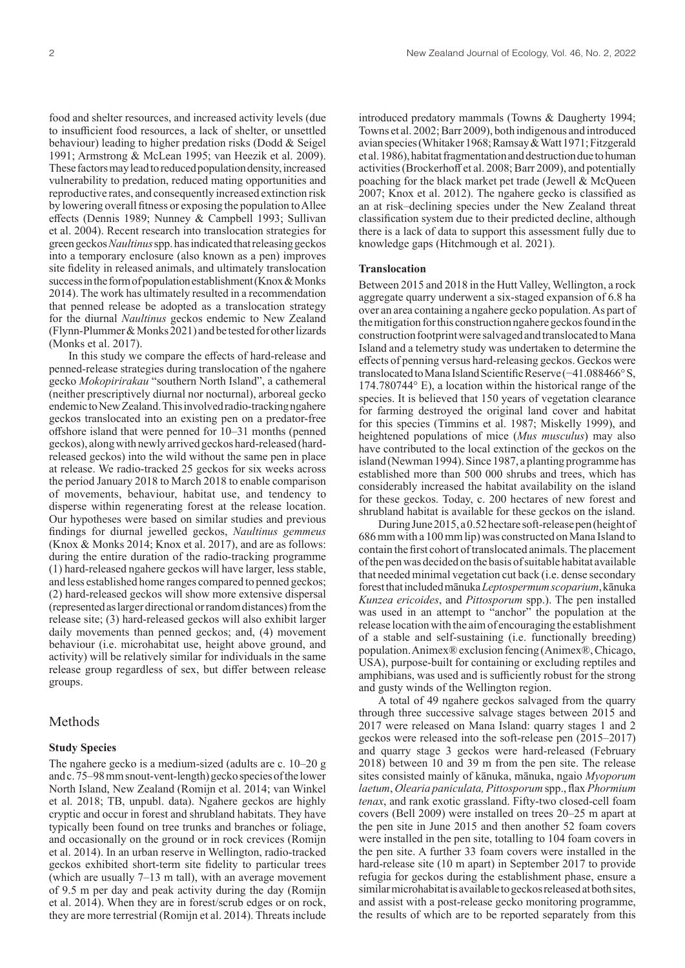food and shelter resources, and increased activity levels (due to insufficient food resources, a lack of shelter, or unsettled behaviour) leading to higher predation risks (Dodd & Seigel 1991; Armstrong & McLean 1995; van Heezik et al. 2009). These factors may lead to reduced population density, increased vulnerability to predation, reduced mating opportunities and reproductive rates, and consequently increased extinction risk by lowering overall fitness or exposing the population to Allee effects (Dennis 1989; Nunney & Campbell 1993; Sullivan et al. 2004). Recent research into translocation strategies for green geckos *Naultinus* spp. has indicated that releasing geckos into a temporary enclosure (also known as a pen) improves site fidelity in released animals, and ultimately translocation success in the form of population establishment (Knox & Monks 2014). The work has ultimately resulted in a recommendation that penned release be adopted as a translocation strategy for the diurnal *Naultinus* geckos endemic to New Zealand (Flynn-Plummer & Monks 2021) and be tested for other lizards (Monks et al. 2017).

In this study we compare the effects of hard-release and penned-release strategies during translocation of the ngahere gecko *Mokopirirakau* "southern North Island", a cathemeral (neither prescriptively diurnal nor nocturnal), arboreal gecko endemic to NewZealand. This involved radio-tracking ngahere geckos translocated into an existing pen on a predator-free offshore island that were penned for 10–31 months (penned geckos), along with newly arrived geckos hard-released (hardreleased geckos) into the wild without the same pen in place at release. We radio-tracked 25 geckos for six weeks across the period January 2018 to March 2018 to enable comparison of movements, behaviour, habitat use, and tendency to disperse within regenerating forest at the release location. Our hypotheses were based on similar studies and previous findings for diurnal jewelled geckos, *Naultinus gemmeus* (Knox & Monks 2014; Knox et al. 2017), and are as follows: during the entire duration of the radio-tracking programme (1) hard-released ngahere geckos will have larger, less stable, and less established home ranges compared to penned geckos; (2) hard-released geckos will show more extensive dispersal (represented as larger directional or random distances) from the release site; (3) hard-released geckos will also exhibit larger daily movements than penned geckos; and, (4) movement behaviour (i.e. microhabitat use, height above ground, and activity) will be relatively similar for individuals in the same release group regardless of sex, but differ between release groups.

## Methods

### **Study Species**

The ngahere gecko is a medium-sized (adults are c. 10–20 g and c. 75–98 mm snout-vent-length) gecko species of the lower North Island, New Zealand (Romijn et al. 2014; van Winkel et al. 2018; TB, unpubl. data). Ngahere geckos are highly cryptic and occur in forest and shrubland habitats. They have typically been found on tree trunks and branches or foliage, and occasionally on the ground or in rock crevices (Romijn et al. 2014). In an urban reserve in Wellington, radio-tracked geckos exhibited short-term site fidelity to particular trees (which are usually 7–13 m tall), with an average movement of 9.5 m per day and peak activity during the day (Romijn et al. 2014). When they are in forest/scrub edges or on rock, they are more terrestrial (Romijn et al. 2014). Threats include

introduced predatory mammals (Towns & Daugherty 1994; Towns et al. 2002; Barr 2009), both indigenous and introduced avian species (Whitaker 1968; Ramsay & Watt 1971; Fitzgerald etal. 1986), habitat fragmentation and destruction due to human activities (Brockerhoff et al. 2008; Barr 2009), and potentially poaching for the black market pet trade (Jewell & McQueen 2007; Knox et al. 2012). The ngahere gecko is classified as an at risk–declining species under the New Zealand threat classification system due to their predicted decline, although there is a lack of data to support this assessment fully due to knowledge gaps (Hitchmough et al. 2021).

## **Translocation**

Between 2015 and 2018 in the Hutt Valley, Wellington, a rock aggregate quarry underwent a six-staged expansion of 6.8 ha over an area containing a ngahere gecko population. As part of the mitigation for this construction ngahere geckos found in the construction footprint were salvaged and translocated to Mana Island and a telemetry study was undertaken to determine the effects of penning versus hard-releasing geckos. Geckos were translocated to Mana Island Scientific Reserve (−41.088466° S, 174.780744° E), a location within the historical range of the species. It is believed that 150 years of vegetation clearance for farming destroyed the original land cover and habitat for this species (Timmins et al. 1987; Miskelly 1999), and heightened populations of mice (*Mus musculus*) may also have contributed to the local extinction of the geckos on the island (Newman 1994). Since 1987, a planting programme has established more than 500 000 shrubs and trees, which has considerably increased the habitat availability on the island for these geckos. Today, c. 200 hectares of new forest and shrubland habitat is available for these geckos on the island.

During June 2015, a 0.52 hectare soft-release pen (height of 686 mm with a 100 mm lip) was constructed on Mana Island to contain the first cohort of translocated animals. The placement of the pen was decided on the basis of suitable habitat available that needed minimal vegetation cut back (i.e. dense secondary forest that included mānuka *Leptospermum scoparium*, kānuka *Kunzea ericoides*, and *Pittosporum* spp.). The pen installed was used in an attempt to "anchor" the population at the release location with the aim of encouraging the establishment of a stable and self-sustaining (i.e. functionally breeding) population. Animex® exclusion fencing (Animex®, Chicago, USA), purpose-built for containing or excluding reptiles and amphibians, was used and is sufficiently robust for the strong and gusty winds of the Wellington region.

A total of 49 ngahere geckos salvaged from the quarry through three successive salvage stages between 2015 and 2017 were released on Mana Island: quarry stages 1 and 2 geckos were released into the soft-release pen (2015–2017) and quarry stage 3 geckos were hard-released (February 2018) between 10 and 39 m from the pen site. The release sites consisted mainly of kānuka, mānuka, ngaio *Myoporum laetum*, *Olearia paniculata, Pittosporum* spp., flax *Phormium tenax*, and rank exotic grassland. Fifty-two closed-cell foam covers (Bell 2009) were installed on trees 20–25 m apart at the pen site in June 2015 and then another 52 foam covers were installed in the pen site, totalling to 104 foam covers in the pen site. A further 33 foam covers were installed in the hard-release site (10 m apart) in September 2017 to provide refugia for geckos during the establishment phase, ensure a similar microhabitat is available to geckos released at both sites, and assist with a post-release gecko monitoring programme, the results of which are to be reported separately from this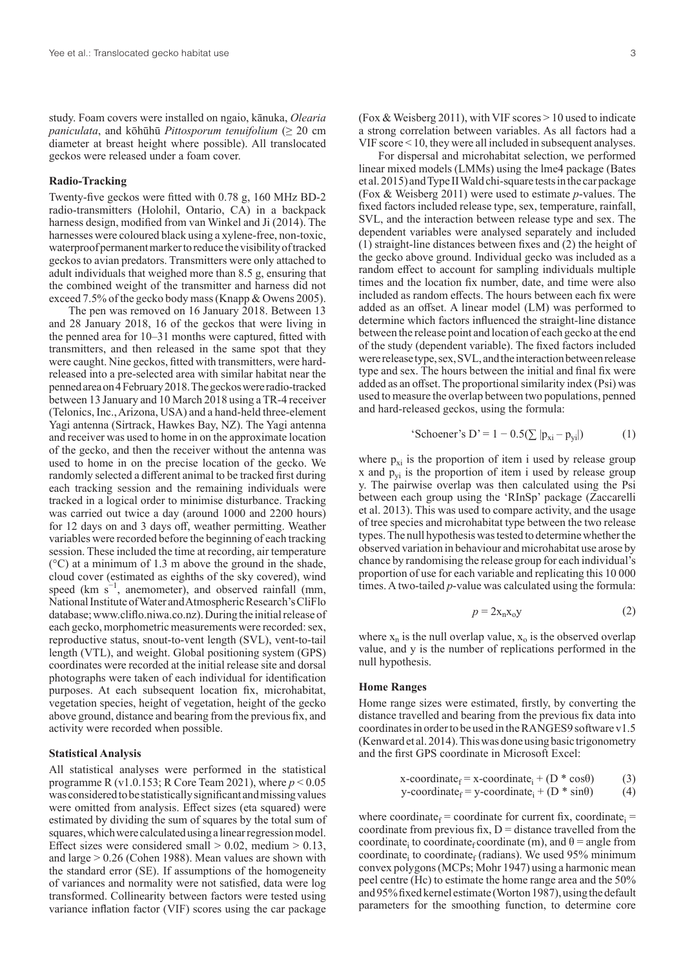study. Foam covers were installed on ngaio, kānuka, *Olearia paniculata*, and kōhūhū *Pittosporum tenuifolium* (≥ 20 cm diameter at breast height where possible). All translocated geckos were released under a foam cover.

### **Radio-Tracking**

Twenty-five geckos were fitted with 0.78 g, 160 MHz BD-2 radio-transmitters (Holohil, Ontario, CA) in a backpack harness design, modified from van Winkel and Ji (2014). The harnesses were coloured black using a xylene-free, non-toxic, waterproof permanent marker to reduce the visibility of tracked geckos to avian predators. Transmitters were only attached to adult individuals that weighed more than 8.5 g, ensuring that the combined weight of the transmitter and harness did not exceed 7.5% of the gecko body mass (Knapp & Owens 2005).

The pen was removed on 16 January 2018. Between 13 and 28 January 2018, 16 of the geckos that were living in the penned area for 10–31 months were captured, fitted with transmitters, and then released in the same spot that they were caught. Nine geckos, fitted with transmitters, were hardreleased into a pre-selected area with similar habitat near the penned area on 4 February 2018. The geckos were radio-tracked between 13 January and 10 March 2018 using a TR-4 receiver (Telonics, Inc., Arizona, USA) and a hand-held three-element Yagi antenna (Sirtrack, Hawkes Bay, NZ). The Yagi antenna and receiver was used to home in on the approximate location of the gecko, and then the receiver without the antenna was used to home in on the precise location of the gecko. We randomly selected a different animal to be tracked first during each tracking session and the remaining individuals were tracked in a logical order to minimise disturbance. Tracking was carried out twice a day (around 1000 and 2200 hours) for 12 days on and 3 days off, weather permitting. Weather variables were recorded before the beginning of each tracking session. These included the time at recording, air temperature  $({}^{\circ}C)$  at a minimum of 1.3 m above the ground in the shade, cloud cover (estimated as eighths of the sky covered), wind speed (km  $s^{-1}$ , anemometer), and observed rainfall (mm, National Institute of Water and Atmospheric Research's CliFlo database; www.cliflo.niwa.co.nz). During the initial release of each gecko, morphometric measurements were recorded: sex, reproductive status, snout-to-vent length (SVL), vent-to-tail length (VTL), and weight. Global positioning system (GPS) coordinates were recorded at the initial release site and dorsal photographs were taken of each individual for identification purposes. At each subsequent location fix, microhabitat, vegetation species, height of vegetation, height of the gecko above ground, distance and bearing from the previous fix, and activity were recorded when possible.

#### **Statistical Analysis**

All statistical analyses were performed in the statistical programme R (v1.0.153; R Core Team 2021), where *p* < 0.05 was considered to be statistically significant and missing values were omitted from analysis. Effect sizes (eta squared) were estimated by dividing the sum of squares by the total sum of squares, which were calculated using a linear regression model. Effect sizes were considered small  $> 0.02$ , medium  $> 0.13$ , and large > 0.26 (Cohen 1988). Mean values are shown with the standard error (SE). If assumptions of the homogeneity of variances and normality were not satisfied, data were log transformed. Collinearity between factors were tested using variance inflation factor (VIF) scores using the car package

(Fox & Weisberg 2011), with VIF scores > 10 used to indicate a strong correlation between variables. As all factors had a VIF score < 10, they were all included in subsequent analyses.

For dispersal and microhabitat selection, we performed linear mixed models (LMMs) using the lme4 package (Bates et al. 2015) and Type II Wald chi-square tests in the car package (Fox & Weisberg 2011) were used to estimate *p*-values. The fixed factors included release type, sex, temperature, rainfall, SVL, and the interaction between release type and sex. The dependent variables were analysed separately and included (1) straight-line distances between fixes and (2) the height of the gecko above ground. Individual gecko was included as a random effect to account for sampling individuals multiple times and the location fix number, date, and time were also included as random effects. The hours between each fix were added as an offset. A linear model (LM) was performed to determine which factors influenced the straight-line distance between the release point and location of each gecko at the end of the study (dependent variable). The fixed factors included were release type, sex, SVL, and the interaction between release type and sex. The hours between the initial and final fix were added as an offset. The proportional similarity index (Psi) was used to measure the overlap between two populations, penned and hard-released geckos, using the formula:

'Schoener's D' = 
$$
1 - 0.5(\sum |p_{xi} - p_{yi}|)
$$
 (1)

where  $p_{xi}$  is the proportion of item i used by release group x and  $p_{vi}$  is the proportion of item i used by release group y. The pairwise overlap was then calculated using the Psi between each group using the 'RInSp' package (Zaccarelli et al. 2013). This was used to compare activity, and the usage of tree species and microhabitat type between the two release types. The null hypothesis was tested to determine whether the observed variation in behaviour and microhabitat use arose by chance by randomising the release group for each individual's proportion of use for each variable and replicating this 10 000 times. A two-tailed *p*-value was calculated using the formula:

$$
p = 2x_n x_o y \tag{2}
$$

where  $x_n$  is the null overlap value,  $x_0$  is the observed overlap value, and y is the number of replications performed in the null hypothesis.

#### **Home Ranges**

Home range sizes were estimated, firstly, by converting the distance travelled and bearing from the previous fix data into coordinates in order to be used in the RANGES9 software v1.5 (Kenward et al. 2014). This was done using basic trigonometry and the first GPS coordinate in Microsoft Excel:

$$
x\text{-coordinate}_{f} = x\text{-coordinate}_{i} + (D * \cos\theta) \tag{3}
$$
\n
$$
y\text{-coordinate}_{f} = y\text{-coordinate}_{i} + (D * \sin\theta) \tag{4}
$$

where coordinate<sub>f</sub> = coordinate for current fix, coordinate<sub>i</sub> = coordinate from previous fix,  $D =$  distance travelled from the coordinate<sub>i</sub> to coordinate<sub>f</sub> coordinate (m), and  $\theta$  = angle from coordinate<sub>i</sub> to coordinate<sub>f</sub> (radians). We used 95% minimum convex polygons (MCPs; Mohr 1947) using a harmonic mean peel centre (Hc) to estimate the home range area and the 50% and 95% fixed kernel estimate (Worton 1987), using the default parameters for the smoothing function, to determine core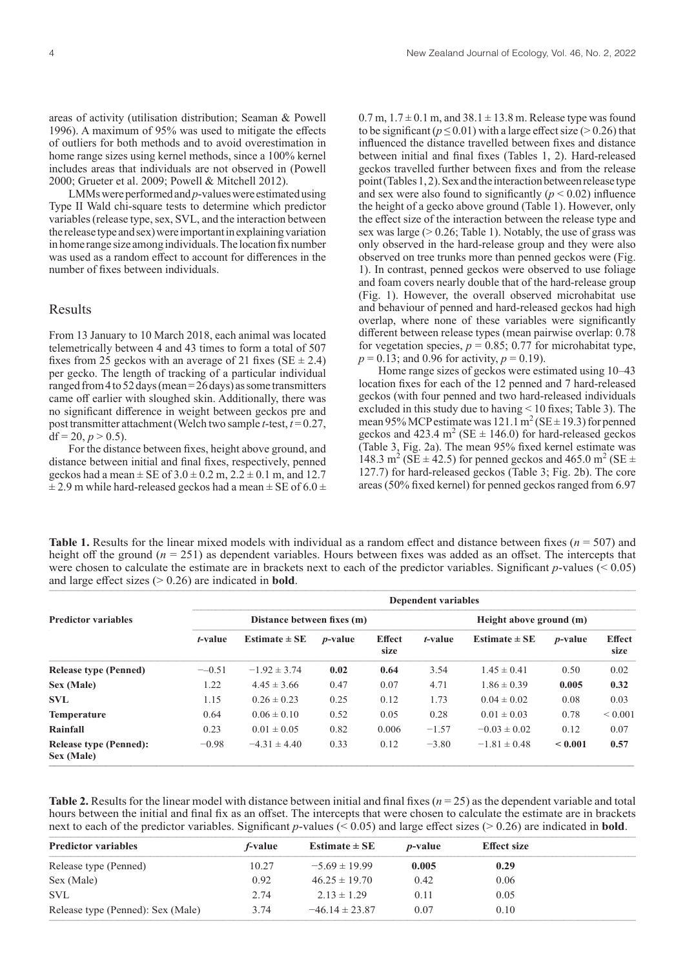areas of activity (utilisation distribution; Seaman & Powell 1996). A maximum of 95% was used to mitigate the effects of outliers for both methods and to avoid overestimation in home range sizes using kernel methods, since a 100% kernel includes areas that individuals are not observed in (Powell 2000; Grueter et al. 2009; Powell & Mitchell 2012).

LMMs were performed and *p*-values were estimated using Type II Wald chi-square tests to determine which predictor variables (release type, sex, SVL, and the interaction between the release type and sex) were important in explaining variation in home range size among individuals. The location fix number was used as a random effect to account for differences in the number of fixes between individuals.

## Results

From 13 January to 10 March 2018, each animal was located telemetrically between 4 and 43 times to form a total of 507 fixes from 25 geckos with an average of 21 fixes (SE  $\pm$  2.4) per gecko. The length of tracking of a particular individual ranged from 4 to 52 days (mean = 26 days) as some transmitters came off earlier with sloughed skin. Additionally, there was no significant difference in weight between geckos pre and post transmitter attachment (Welch two sample *t*-test,  $t = 0.27$ , df = 20,  $p > 0.5$ ).

For the distance between fixes, height above ground, and distance between initial and final fixes, respectively, penned geckos had a mean  $\pm$  SE of 3.0  $\pm$  0.2 m, 2.2  $\pm$  0.1 m, and 12.7  $\pm$  2.9 m while hard-released geckos had a mean  $\pm$  SE of 6.0  $\pm$   $0.7$  m,  $1.7 \pm 0.1$  m, and  $38.1 \pm 13.8$  m. Release type was found to be significant ( $p \le 0.01$ ) with a large effect size ( $> 0.26$ ) that influenced the distance travelled between fixes and distance between initial and final fixes (Tables 1, 2). Hard-released geckos travelled further between fixes and from the release point (Tables 1, 2). Sex and the interaction between release type and sex were also found to significantly  $(p < 0.02)$  influence the height of a gecko above ground (Table 1). However, only the effect size of the interaction between the release type and sex was large  $(> 0.26$ ; Table 1). Notably, the use of grass was only observed in the hard-release group and they were also observed on tree trunks more than penned geckos were (Fig. 1). In contrast, penned geckos were observed to use foliage and foam covers nearly double that of the hard-release group (Fig. 1). However, the overall observed microhabitat use and behaviour of penned and hard-released geckos had high overlap, where none of these variables were significantly different between release types (mean pairwise overlap: 0.78 for vegetation species,  $p = 0.85$ ; 0.77 for microhabitat type,  $p = 0.13$ ; and 0.96 for activity,  $p = 0.19$ ).

Home range sizes of geckos were estimated using 10–43 location fixes for each of the 12 penned and 7 hard-released geckos (with four penned and two hard-released individuals excluded in this study due to having < 10 fixes; Table 3). The mean 95% MCP estimate was  $121.1 \text{ m}^2(\text{SE} \pm 19.3)$  for penned geckos and 423.4  $m^2$  (SE  $\pm$  146.0) for hard-released geckos (Table 3, Fig. 2a). The mean 95% fixed kernel estimate was 148.3 m<sup>2</sup> (SE  $\pm$  42.5) for penned geckos and 465.0 m<sup>2</sup> (SE  $\pm$ 127.7) for hard-released geckos (Table 3; Fig. 2b). The core areas (50% fixed kernel) for penned geckos ranged from 6.97

**Table 1.** Results for the linear mixed models with individual as a random effect and distance between fixes (*n* = 507) and height off the ground ( $n = 251$ ) as dependent variables. Hours between fixes was added as an offset. The intercepts that were chosen to calculate the estimate are in brackets next to each of the predictor variables. Significant *p*-values (< 0.05) and large effect sizes  $(> 0.26)$  are indicated in **bold**.

|                                             | <b>Dependent variables</b> |                   |                 |                       |                         |                   |                 |                       |  |
|---------------------------------------------|----------------------------|-------------------|-----------------|-----------------------|-------------------------|-------------------|-----------------|-----------------------|--|
| <b>Predictor variables</b>                  | Distance between fixes (m) |                   |                 |                       | Height above ground (m) |                   |                 |                       |  |
|                                             | t-value                    | Estimate $\pm$ SE | <i>p</i> -value | <b>Effect</b><br>size | t-value                 | Estimate $\pm$ SE | <i>p</i> -value | <b>Effect</b><br>size |  |
| <b>Release type (Penned)</b>                | $-0.51$                    | $-1.92 \pm 3.74$  | 0.02            | 0.64                  | 3.54                    | $1.45 \pm 0.41$   | 0.50            | 0.02                  |  |
| Sex (Male)                                  | 1.22                       | $4.45 \pm 3.66$   | 0.47            | 0.07                  | 4.71                    | $1.86 \pm 0.39$   | 0.005           | 0.32                  |  |
| <b>SVL</b>                                  | 1.15                       | $0.26 \pm 0.23$   | 0.25            | 0.12                  | 1.73                    | $0.04 \pm 0.02$   | 0.08            | 0.03                  |  |
| <b>Temperature</b>                          | 0.64                       | $0.06 \pm 0.10$   | 0.52            | 0.05                  | 0.28                    | $0.01 \pm 0.03$   | 0.78            | ${}_{0.001}$          |  |
| Rainfall                                    | 0.23                       | $0.01 \pm 0.05$   | 0.82            | 0.006                 | $-1.57$                 | $-0.03 \pm 0.02$  | 0.12            | 0.07                  |  |
| <b>Release type (Penned):</b><br>Sex (Male) | $-0.98$                    | $-4.31 \pm 4.40$  | 0.33            | 0.12                  | $-3.80$                 | $-1.81 \pm 0.48$  | ${}_{0.001}$    | 0.57                  |  |

**Table 2.** Results for the linear model with distance between initial and final fixes  $(n = 25)$  as the dependent variable and total hours between the initial and final fix as an offset. The intercepts that were chosen to calculate the estimate are in brackets next to each of the predictor variables. Significant p-values  $(< 0.05)$  and large effect sizes  $(> 0.26)$  are indicated in **bold**.

| <b>Predictor variables</b>        | <i>f</i> -value | Estimate $\pm$ SE  | <i>p</i> -value | <b>Effect size</b> |
|-----------------------------------|-----------------|--------------------|-----------------|--------------------|
| Release type (Penned)             | 10.27           | $-5.69 \pm 19.99$  | 0.005           | 0.29               |
| Sex (Male)                        | 0.92            | $46.25 \pm 19.70$  | 0.42            | 0.06               |
| <b>SVL</b>                        | 2.74            | $2.13 \pm 1.29$    | 0.11            | 0.05               |
| Release type (Penned): Sex (Male) | 3.74            | $-46.14 \pm 23.87$ | 0.07            | 0.10               |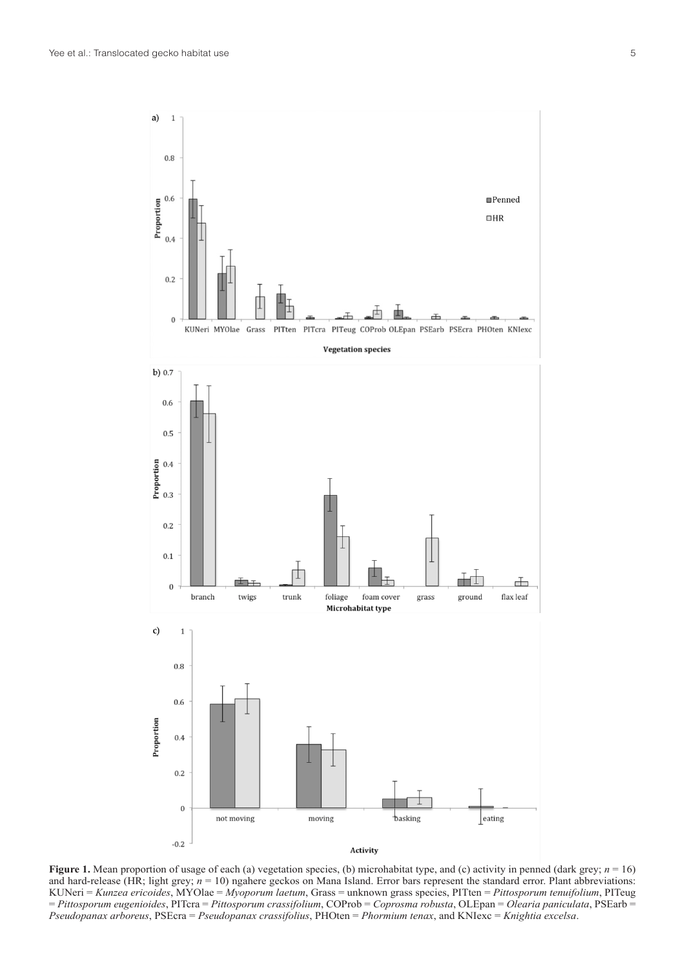

**Figure 1.** Mean proportion of usage of each (a) vegetation species, (b) microhabitat type, and (c) activity in penned (dark grey;  $n = 16$ ) and hard-release (HR; light grey;  $n = 10$ ) ngahere geckos on Mana Island. Error bars represent the standard error. Plant abbreviations: KUNeri = *Kunzea ericoides*, MYOlae = *Myoporum laetum*, Grass = unknown grass species, PITten = *Pittosporum tenuifolium*, PITeug = *Pittosporum eugenioides*, PITcra = *Pittosporum crassifolium*, COProb = *Coprosma robusta*, OLEpan = *Olearia paniculata*, PSEarb = *Pseudopanax arboreus*, PSEcra = *Pseudopanax crassifolius*, PHOten = *Phormium tenax*, and KNIexc = *Knightia excelsa*.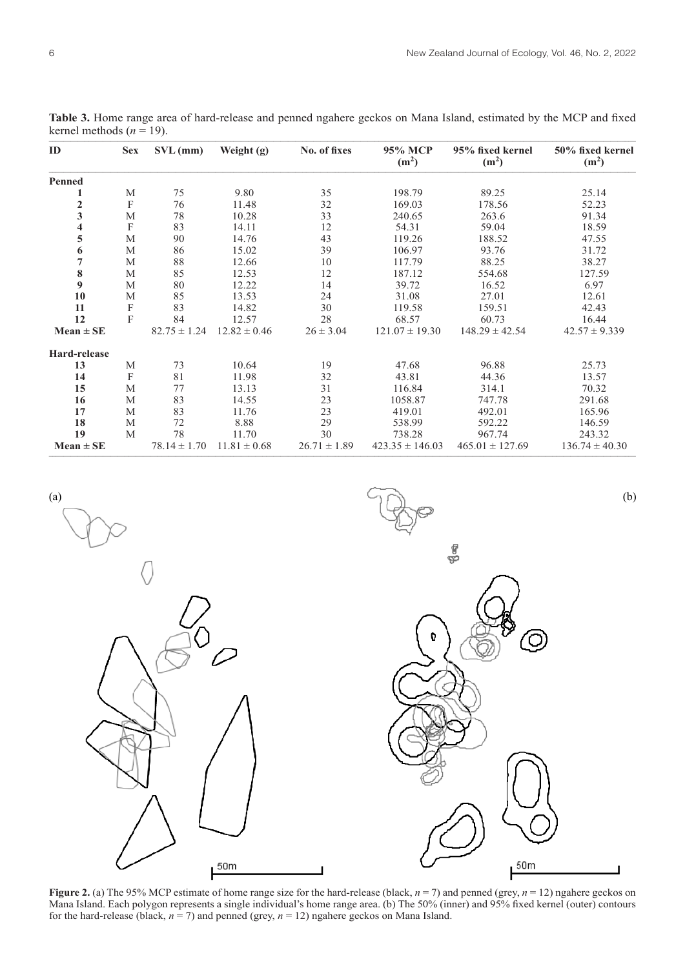| ID                      | <b>Sex</b>                | $SVL$ (mm)       | Weight (g)       | No. of fixes     | 95% MCP<br>(m <sup>2</sup> ) | 95% fixed kernel<br>(m <sup>2</sup> ) | 50% fixed kernel<br>(m <sup>2</sup> ) |
|-------------------------|---------------------------|------------------|------------------|------------------|------------------------------|---------------------------------------|---------------------------------------|
| Penned                  |                           |                  |                  |                  |                              |                                       |                                       |
| 1                       | M                         | 75               | 9.80             | 35               | 198.79                       | 89.25                                 | 25.14                                 |
| $\frac{2}{3}$           | $\boldsymbol{\mathrm{F}}$ | 76               | 11.48            | 32               | 169.03                       | 178.56                                | 52.23                                 |
|                         | M                         | 78               | 10.28            | 33               | 240.65                       | 263.6                                 | 91.34                                 |
| $\overline{\mathbf{4}}$ | F                         | 83               | 14.11            | 12               | 54.31                        | 59.04                                 | 18.59                                 |
| 5                       | M                         | 90               | 14.76            | 43               | 119.26                       | 188.52                                | 47.55                                 |
| 6                       | M                         | 86               | 15.02            | 39               | 106.97                       | 93.76                                 | 31.72                                 |
| $\boldsymbol{7}$        | M                         | 88               | 12.66            | 10               | 117.79                       | 88.25                                 | 38.27                                 |
| 8                       | M                         | 85               | 12.53            | 12               | 187.12                       | 554.68                                | 127.59                                |
| 9                       | M                         | 80               | 12.22            | 14               | 39.72                        | 16.52                                 | 6.97                                  |
| 10                      | M                         | 85               | 13.53            | 24               | 31.08                        | 27.01                                 | 12.61                                 |
| 11                      | $\boldsymbol{F}$          | 83               | 14.82            | 30               | 119.58                       | 159.51                                | 42.43                                 |
| 12                      | F                         | 84               | 12.57            | 28               | 68.57                        | 60.73                                 | 16.44                                 |
| $Mean \pm SE$           |                           | $82.75 \pm 1.24$ | $12.82 \pm 0.46$ | $26 \pm 3.04$    | $121.07 \pm 19.30$           | $148.29 \pm 42.54$                    | $42.57 \pm 9.339$                     |
| Hard-release            |                           |                  |                  |                  |                              |                                       |                                       |
| 13                      | M                         | 73               | 10.64            | 19               | 47.68                        | 96.88                                 | 25.73                                 |
| 14                      | F                         | 81               | 11.98            | 32               | 43.81                        | 44.36                                 | 13.57                                 |
| 15                      | M                         | 77               | 13.13            | 31               | 116.84                       | 314.1                                 | 70.32                                 |
| 16                      | M                         | 83               | 14.55            | 23               | 1058.87                      | 747.78                                | 291.68                                |
| 17                      | M                         | 83               | 11.76            | 23               | 419.01                       | 492.01                                | 165.96                                |
| 18                      | M                         | 72               | 8.88             | 29               | 538.99                       | 592.22                                | 146.59                                |
| 19                      | M                         | 78               | 11.70            | 30               | 738.28                       | 967.74                                | 243.32                                |
| $Mean \pm SE$           |                           | $78.14 \pm 1.70$ | $11.81 \pm 0.68$ | $26.71 \pm 1.89$ | $423.35 \pm 146.03$          | $465.01 \pm 127.69$                   | $136.74 \pm 40.30$                    |

**Table 3.** Home range area of hard-release and penned ngahere geckos on Mana Island, estimated by the MCP and fixed kernel methods  $(n = 19)$ .



**Figure 2.** (a) The 95% MCP estimate of home range size for the hard-release (black, *n* = 7) and penned (grey, *n* = 12) ngahere geckos on Mana Island. Each polygon represents a single individual's home range area. (b) The 50% (inner) and 95% fixed kernel (outer) contours for the hard-release (black,  $n = 7$ ) and penned (grey,  $n = 12$ ) ngahere geckos on Mana Island.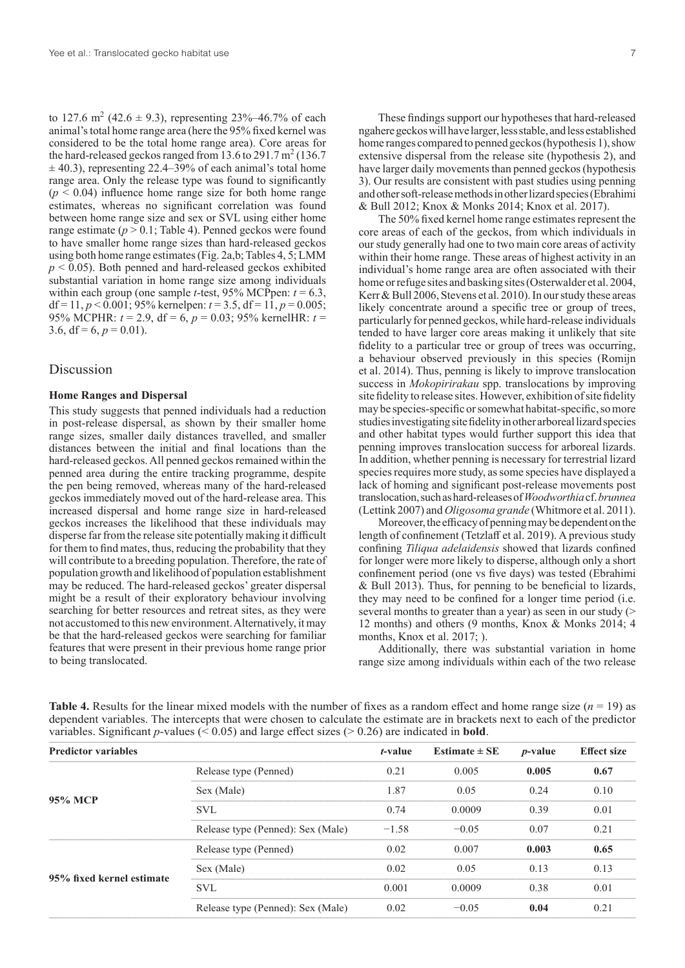to 127.6 m<sup>2</sup> (42.6  $\pm$  9.3), representing 23%–46.7% of each animal's total home range area (here the 95% fixed kernel was considered to be the total home range area). Core areas for the hard-released geckos ranged from 13.6 to 291.7 m<sup>2</sup> (136.7)  $\pm$  40.3), representing 22.4–39% of each animal's total home range area. Only the release type was found to significantly  $(p < 0.04)$  influence home range size for both home range estimates, whereas no significant correlation was found between home range size and sex or SVL using either home range estimate  $(p > 0.1$ ; Table 4). Penned geckos were found to have smaller home range sizes than hard-released geckos using both home range estimates (Fig. 2a,b; Tables 4, 5; LMM  $p < 0.05$ ). Both penned and hard-released geckos exhibited substantial variation in home range size among individuals within each group (one sample *t*-test, 95% MCPpen: *t* = 6.3, df = 11,  $p$  < 0.001; 95% kernelpen:  $t$  = 3.5, df = 11,  $p$  = 0.005; 95% MCPHR: *t* = 2.9, df = 6, *p* = 0.03; 95% kernelHR: *t* = 3.6,  $df = 6$ ,  $p = 0.01$ ).

# Discussion

## **Home Ranges and Dispersal**

This study suggests that penned individuals had a reduction in post-release dispersal, as shown by their smaller home range sizes, smaller daily distances travelled, and smaller distances between the initial and final locations than the hard-released geckos. All penned geckos remained within the penned area during the entire tracking programme, despite the pen being removed, whereas many of the hard-released geckos immediately moved out of the hard-release area. This increased dispersal and home range size in hard-released geckos increases the likelihood that these individuals may disperse far from the release site potentially making it difficult for them to find mates, thus, reducing the probability that they will contribute to a breeding population. Therefore, the rate of population growth and likelihood of population establishment may be reduced. The hard-released geckos' greater dispersal might be a result of their exploratory behaviour involving searching for better resources and retreat sites, as they were not accustomed to this new environment. Alternatively, it may be that the hard-released geckos were searching for familiar features that were present in their previous home range prior to being translocated.

These findings support our hypotheses that hard-released ngahere geckos will have larger, less stable, and less established home ranges compared to penned geckos (hypothesis 1), show extensive dispersal from the release site (hypothesis 2), and have larger daily movements than penned geckos (hypothesis 3). Our results are consistent with past studies using penning and other soft-release methods in other lizard species (Ebrahimi & Bull 2012; Knox & Monks 2014; Knox et al. 2017).

The 50% fixed kernel home range estimates represent the core areas of each of the geckos, from which individuals in our study generally had one to two main core areas of activity within their home range. These areas of highest activity in an individual's home range area are often associated with their home or refuge sites and basking sites (Osterwalder et al. 2004, Kerr & Bull 2006, Stevens et al. 2010). In our study these areas likely concentrate around a specific tree or group of trees, particularly for penned geckos, while hard-release individuals tended to have larger core areas making it unlikely that site fidelity to a particular tree or group of trees was occurring, a behaviour observed previously in this species (Romijn et al. 2014). Thus, penning is likely to improve translocation success in *Mokopirirakau* spp. translocations by improving site fidelity to release sites. However, exhibition of site fidelity may be species-specific or somewhat habitat-specific, so more studies investigating site fidelity in other arboreal lizard species and other habitat types would further support this idea that penning improves translocation success for arboreal lizards. In addition, whether penning is necessary for terrestrial lizard species requires more study, as some species have displayed a lack of homing and significant post-release movements post translocation, such as hard-releases of *Woodworthia* cf. *brunnea* (Lettink 2007) and *Oligosoma grande* (Whitmore et al. 2011).

Moreover, the efficacy of penning may be dependent on the length of confinement (Tetzlaff et al. 2019). A previous study confining *Tiliqua adelaidensis* showed that lizards confined for longer were more likely to disperse, although only a short confinement period (one vs five days) was tested (Ebrahimi & Bull 2013). Thus, for penning to be beneficial to lizards, they may need to be confined for a longer time period (i.e. several months to greater than a year) as seen in our study (> 12 months) and others (9 months, Knox & Monks 2014; 4 months, Knox et al. 2017; ).

Additionally, there was substantial variation in home range size among individuals within each of the two release

| <b>Predictor variables</b> |                                   | <i>t</i> -value | Estimate $\pm$ SE | <i>p</i> -value | <b>Effect size</b> |
|----------------------------|-----------------------------------|-----------------|-------------------|-----------------|--------------------|
|                            | Release type (Penned)             | 0.21            | 0.005             | 0.005           | 0.67               |
|                            | Sex (Male)                        | 1.87            | 0.05              | 0.24            | 0.10               |
| 95% MCP                    | <b>SVL</b>                        | 0.74            | 0.0009            | 0.39            | 0.01               |
|                            | Release type (Penned): Sex (Male) | $-1.58$         | $-0.05$           | 0.07            | 0.21               |
|                            | Release type (Penned)             | 0.02            | 0.007             | 0.003           | 0.65               |
| 95% fixed kernel estimate  | Sex (Male)                        | 0.02            | 0.05              | 0.13            | 0.13               |
|                            | <b>SVL</b>                        | 0.001           | 0.0009            | 0.38            | 0.01               |
|                            | Release type (Penned): Sex (Male) | 0.02            | $-0.05$           | 0.04            | 0.21               |

**Table 4.** Results for the linear mixed models with the number of fixes as a random effect and home range size  $(n = 19)$  as dependent variables. The intercepts that were chosen to calculate the estimate are in brackets next to each of the predictor variables. Significant p-values ( $\leq$  0.05) and large effect sizes ( $\geq$  0.26) are indicated in **bold**.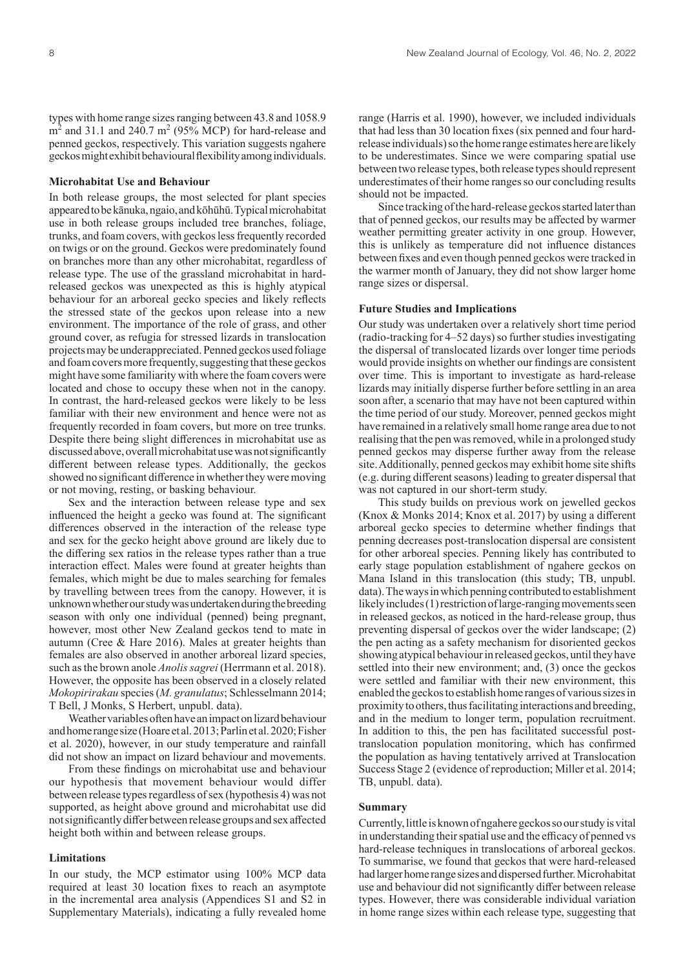types with home range sizes ranging between 43.8 and 1058.9  $\text{m}^2$  and 31.1 and 240.7 m<sup>2</sup> (95% MCP) for hard-release and penned geckos, respectively. This variation suggests ngahere geckos might exhibit behavioural flexibility among individuals.

### **Microhabitat Use and Behaviour**

In both release groups, the most selected for plant species appeared to be kānuka, ngaio, and kōhūhū. Typical microhabitat use in both release groups included tree branches, foliage, trunks, and foam covers, with geckos less frequently recorded on twigs or on the ground. Geckos were predominately found on branches more than any other microhabitat, regardless of release type. The use of the grassland microhabitat in hardreleased geckos was unexpected as this is highly atypical behaviour for an arboreal gecko species and likely reflects the stressed state of the geckos upon release into a new environment. The importance of the role of grass, and other ground cover, as refugia for stressed lizards in translocation projects may be underappreciated. Penned geckos used foliage and foam covers more frequently, suggesting that these geckos might have some familiarity with where the foam covers were located and chose to occupy these when not in the canopy. In contrast, the hard-released geckos were likely to be less familiar with their new environment and hence were not as frequently recorded in foam covers, but more on tree trunks. Despite there being slight differences in microhabitat use as discussed above, overall microhabitat use was not significantly different between release types. Additionally, the geckos showed no significant difference in whether they were moving or not moving, resting, or basking behaviour.

Sex and the interaction between release type and sex influenced the height a gecko was found at. The significant differences observed in the interaction of the release type and sex for the gecko height above ground are likely due to the differing sex ratios in the release types rather than a true interaction effect. Males were found at greater heights than females, which might be due to males searching for females by travelling between trees from the canopy. However, it is unknown whether our study was undertaken during the breeding season with only one individual (penned) being pregnant, however, most other New Zealand geckos tend to mate in autumn (Cree & Hare 2016). Males at greater heights than females are also observed in another arboreal lizard species, such as the brown anole *Anolis sagrei* (Herrmann et al. 2018). However, the opposite has been observed in a closely related *Mokopirirakau* species (*M. granulatus*; Schlesselmann 2014; T Bell, J Monks, S Herbert, unpubl. data).

Weather variables often have an impact on lizard behaviour and home range size (Hoare etal. 2013; Parlin etal. 2020; Fisher et al. 2020), however, in our study temperature and rainfall did not show an impact on lizard behaviour and movements.

From these findings on microhabitat use and behaviour our hypothesis that movement behaviour would differ between release types regardless of sex (hypothesis 4) was not supported, as height above ground and microhabitat use did not significantly differ between release groups and sex affected height both within and between release groups.

#### **Limitations**

In our study, the MCP estimator using 100% MCP data required at least 30 location fixes to reach an asymptote in the incremental area analysis (Appendices S1 and S2 in Supplementary Materials), indicating a fully revealed home

range (Harris et al. 1990), however, we included individuals that had less than 30 location fixes (six penned and four hardrelease individuals) so the home range estimates here are likely to be underestimates. Since we were comparing spatial use between two release types, both release types should represent underestimates of their home ranges so our concluding results should not be impacted.

Since tracking of the hard-release geckos started later than that of penned geckos, our results may be affected by warmer weather permitting greater activity in one group. However, this is unlikely as temperature did not influence distances between fixes and even though penned geckos were tracked in the warmer month of January, they did not show larger home range sizes or dispersal.

## **Future Studies and Implications**

Our study was undertaken over a relatively short time period (radio-tracking for 4–52 days) so further studies investigating the dispersal of translocated lizards over longer time periods would provide insights on whether our findings are consistent over time. This is important to investigate as hard-release lizards may initially disperse further before settling in an area soon after, a scenario that may have not been captured within the time period of our study. Moreover, penned geckos might have remained in a relatively small home range area due to not realising that the pen was removed, while in a prolonged study penned geckos may disperse further away from the release site. Additionally, penned geckos may exhibit home site shifts (e.g. during different seasons) leading to greater dispersal that was not captured in our short-term study.

This study builds on previous work on jewelled geckos (Knox & Monks 2014; Knox et al. 2017) by using a different arboreal gecko species to determine whether findings that penning decreases post-translocation dispersal are consistent for other arboreal species. Penning likely has contributed to early stage population establishment of ngahere geckos on Mana Island in this translocation (this study; TB, unpubl. data). The ways in which penning contributed to establishment likely includes (1) restriction of large-ranging movements seen in released geckos, as noticed in the hard-release group, thus preventing dispersal of geckos over the wider landscape; (2) the pen acting as a safety mechanism for disoriented geckos showing atypical behaviour in released geckos, until they have settled into their new environment; and, (3) once the geckos were settled and familiar with their new environment, this enabled the geckos to establish home ranges of various sizes in proximity to others, thus facilitating interactions and breeding, and in the medium to longer term, population recruitment. In addition to this, the pen has facilitated successful posttranslocation population monitoring, which has confirmed the population as having tentatively arrived at Translocation Success Stage 2 (evidence of reproduction; Miller et al. 2014; TB, unpubl. data).

#### **Summary**

Currently, little is known of ngahere geckos so our study is vital in understanding their spatial use and the efficacy of penned vs hard-release techniques in translocations of arboreal geckos. To summarise, we found that geckos that were hard-released had larger home range sizes and dispersed further. Microhabitat use and behaviour did not significantly differ between release types. However, there was considerable individual variation in home range sizes within each release type, suggesting that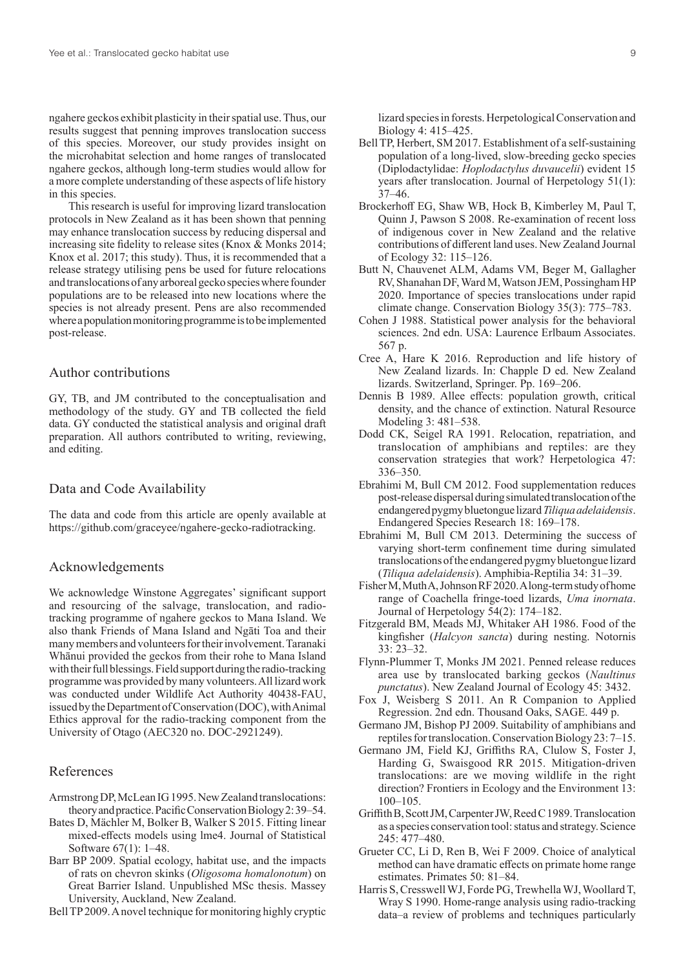ngahere geckos exhibit plasticity in their spatial use. Thus, our results suggest that penning improves translocation success of this species. Moreover, our study provides insight on the microhabitat selection and home ranges of translocated ngahere geckos, although long-term studies would allow for a more complete understanding of these aspects of life history in this species.

This research is useful for improving lizard translocation protocols in New Zealand as it has been shown that penning may enhance translocation success by reducing dispersal and increasing site fidelity to release sites (Knox & Monks 2014; Knox et al. 2017; this study). Thus, it is recommended that a release strategy utilising pens be used for future relocations and translocations of any arboreal gecko species where founder populations are to be released into new locations where the species is not already present. Pens are also recommended where a population monitoring programme is to be implemented post-release.

# Author contributions

GY, TB, and JM contributed to the conceptualisation and methodology of the study. GY and TB collected the field data. GY conducted the statistical analysis and original draft preparation. All authors contributed to writing, reviewing, and editing.

## Data and Code Availability

The data and code from this article are openly available at https://github.com/graceyee/ngahere-gecko-radiotracking.

## Acknowledgements

We acknowledge Winstone Aggregates' significant support and resourcing of the salvage, translocation, and radiotracking programme of ngahere geckos to Mana Island. We also thank Friends of Mana Island and Ngāti Toa and their many members and volunteers for their involvement. Taranaki Whānui provided the geckos from their rohe to Mana Island with their full blessings. Field support during the radio-tracking programme was provided by many volunteers. All lizard work was conducted under Wildlife Act Authority 40438-FAU, issued by the Department of Conservation (DOC), with Animal Ethics approval for the radio-tracking component from the University of Otago (AEC320 no. DOC-2921249).

## References

- Armstrong DP, McLean IG 1995. NewZealand translocations: theory and practice. Pacific Conservation Biology 2: 39–54.
- Bates D, Mächler M, Bolker B, Walker S 2015. Fitting linear mixed-effects models using lme4. Journal of Statistical Software 67(1): 1–48.
- Barr BP 2009. Spatial ecology, habitat use, and the impacts of rats on chevron skinks (*Oligosoma homalonotum*) on Great Barrier Island. Unpublished MSc thesis. Massey University, Auckland, New Zealand.

Bell TP 2009. A novel technique for monitoring highly cryptic

lizard species in forests. Herpetological Conservation and Biology 4: 415–425.

- Bell TP, Herbert, SM 2017. Establishment of a self-sustaining population of a long-lived, slow-breeding gecko species (Diplodactylidae: *Hoplodactylus duvaucelii*) evident 15 years after translocation. Journal of Herpetology 51(1):  $37-46$ .
- Brockerhoff EG, Shaw WB, Hock B, Kimberley M, Paul T, Quinn J, Pawson S 2008. Re-examination of recent loss of indigenous cover in New Zealand and the relative contributions of different land uses. New Zealand Journal of Ecology 32: 115–126.
- Butt N, Chauvenet ALM, Adams VM, Beger M, Gallagher RV, Shanahan DF, Ward M, Watson JEM, Possingham HP 2020. Importance of species translocations under rapid climate change. Conservation Biology 35(3): 775–783.
- Cohen J 1988. Statistical power analysis for the behavioral sciences. 2nd edn. USA: Laurence Erlbaum Associates. 567 p.
- Cree A, Hare K 2016. Reproduction and life history of New Zealand lizards. In: Chapple D ed. New Zealand lizards. Switzerland, Springer. Pp. 169–206.
- Dennis B 1989. Allee effects: population growth, critical density, and the chance of extinction. Natural Resource Modeling 3: 481–538.
- Dodd CK, Seigel RA 1991. Relocation, repatriation, and translocation of amphibians and reptiles: are they conservation strategies that work? Herpetologica 47: 336–350.
- Ebrahimi M, Bull CM 2012. Food supplementation reduces post-release dispersal during simulated translocation of the endangered pygmy bluetongue lizard *Tiliqua adelaidensis*. Endangered Species Research 18: 169–178.
- Ebrahimi M, Bull CM 2013. Determining the success of varying short-term confinement time during simulated translocations of the endangered pygmy bluetongue lizard (*Tiliqua adelaidensis*). Amphibia-Reptilia 34: 31–39.
- Fisher M, Muth A, Johnson RF 2020. A long-term study of home range of Coachella fringe-toed lizards, *Uma inornata*. Journal of Herpetology 54(2): 174–182.
- Fitzgerald BM, Meads MJ, Whitaker AH 1986. Food of the kingfisher (*Halcyon sancta*) during nesting. Notornis 33: 23–32.
- Flynn-Plummer T, Monks JM 2021. Penned release reduces area use by translocated barking geckos (*Naultinus punctatus*). New Zealand Journal of Ecology 45: 3432.
- Fox J, Weisberg S 2011. An R Companion to Applied Regression. 2nd edn. Thousand Oaks, SAGE. 449 p.
- Germano JM, Bishop PJ 2009. Suitability of amphibians and reptiles for translocation. Conservation Biology 23: 7–15.
- Germano JM, Field KJ, Griffiths RA, Clulow S, Foster J, Harding G, Swaisgood RR 2015. Mitigation-driven translocations: are we moving wildlife in the right direction? Frontiers in Ecology and the Environment 13: 100–105.
- Griffith B, Scott JM, Carpenter JW, Reed C 1989. Translocation as a species conservation tool: status and strategy. Science 245: 477–480.
- Grueter CC, Li D, Ren B, Wei F 2009. Choice of analytical method can have dramatic effects on primate home range estimates. Primates 50: 81–84.
- Harris S, Cresswell WJ, Forde PG, Trewhella WJ, Woollard T, Wray S 1990. Home-range analysis using radio-tracking data–a review of problems and techniques particularly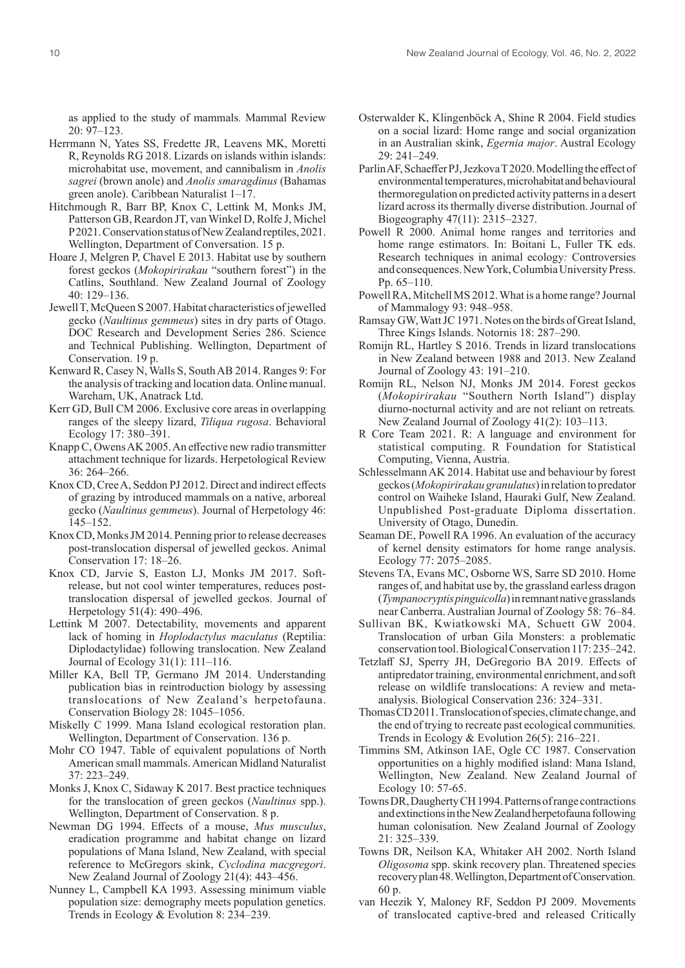as applied to the study of mammals*.* Mammal Review 20: 97–123.

- Herrmann N, Yates SS, Fredette JR, Leavens MK, Moretti R, Reynolds RG 2018. Lizards on islands within islands: microhabitat use, movement, and cannibalism in *Anolis sagrei* (brown anole) and *Anolis smaragdinus* (Bahamas green anole). Caribbean Naturalist 1–17.
- Hitchmough R, Barr BP, Knox C, Lettink M, Monks JM, Patterson GB, Reardon JT, van Winkel D, Rolfe J, Michel P 2021. Conservation status of NewZealand reptiles, 2021. Wellington, Department of Conversation. 15 p.
- Hoare J, Melgren P, Chavel E 2013. Habitat use by southern forest geckos (*Mokopirirakau* "southern forest") in the Catlins, Southland. New Zealand Journal of Zoology 40: 129–136.
- Jewell T, McQueen S 2007. Habitat characteristics of jewelled gecko (*Naultinus gemmeus*) sites in dry parts of Otago. DOC Research and Development Series 286. Science and Technical Publishing. Wellington, Department of Conservation. 19 p.
- Kenward R, Casey N, Walls S, South AB 2014. Ranges 9: For the analysis of tracking and location data. Online manual. Wareham, UK, Anatrack Ltd.
- Kerr GD, Bull CM 2006. Exclusive core areas in overlapping ranges of the sleepy lizard, *Tiliqua rugosa*. Behavioral Ecology 17: 380–391.
- Knapp C, Owens AK 2005. An effective new radio transmitter attachment technique for lizards. Herpetological Review 36: 264–266.
- Knox CD, Cree A, Seddon PJ 2012. Direct and indirect effects of grazing by introduced mammals on a native, arboreal gecko (*Naultinus gemmeus*). Journal of Herpetology 46: 145–152.
- Knox CD, Monks JM 2014. Penning prior to release decreases post-translocation dispersal of jewelled geckos. Animal Conservation 17: 18–26.
- Knox CD, Jarvie S, Easton LJ, Monks JM 2017. Softrelease, but not cool winter temperatures, reduces posttranslocation dispersal of jewelled geckos. Journal of Herpetology 51(4): 490–496.
- Lettink M 2007. Detectability, movements and apparent lack of homing in *Hoplodactylus maculatus* (Reptilia: Diplodactylidae) following translocation. New Zealand Journal of Ecology 31(1): 111–116.
- Miller KA, Bell TP, Germano JM 2014. Understanding publication bias in reintroduction biology by assessing translocations of New Zealand's herpetofauna. Conservation Biology 28: 1045–1056.
- Miskelly C 1999. Mana Island ecological restoration plan. Wellington, Department of Conservation. 136 p.
- Mohr CO 1947. Table of equivalent populations of North American small mammals. American Midland Naturalist 37: 223–249.
- Monks J, Knox C, Sidaway K 2017. Best practice techniques for the translocation of green geckos (*Naultinus* spp.). Wellington, Department of Conservation. 8 p.
- Newman DG 1994. Effects of a mouse, *Mus musculus*, eradication programme and habitat change on lizard populations of Mana Island, New Zealand, with special reference to McGregors skink, *Cyclodina macgregori*. New Zealand Journal of Zoology 21(4): 443–456.
- Nunney L, Campbell KA 1993. Assessing minimum viable population size: demography meets population genetics. Trends in Ecology & Evolution 8: 234–239.
- Osterwalder K, Klingenböck A, Shine R 2004. Field studies on a social lizard: Home range and social organization in an Australian skink, *Egernia major*. Austral Ecology 29: 241–249.
- Parlin AF, Schaeffer PJ, Jezkova T 2020. Modelling the effect of environmental temperatures, microhabitat and behavioural thermoregulation on predicted activity patterns in a desert lizard across its thermally diverse distribution. Journal of Biogeography 47(11): 2315–2327.
- Powell R 2000. Animal home ranges and territories and home range estimators. In: Boitani L, Fuller TK eds. Research techniques in animal ecology*:* Controversies and consequences. New York, Columbia University Press. Pp. 65–110.
- Powell RA, Mitchell MS 2012. What is a home range? Journal of Mammalogy 93: 948–958.
- Ramsay GW, Watt JC 1971. Notes on the birds of Great Island, Three Kings Islands. Notornis 18: 287–290.
- Romijn RL, Hartley S 2016. Trends in lizard translocations in New Zealand between 1988 and 2013. New Zealand Journal of Zoology 43: 191–210.
- Romijn RL, Nelson NJ, Monks JM 2014. Forest geckos (*Mokopirirakau* "Southern North Island") display diurno-nocturnal activity and are not reliant on retreats*.*  New Zealand Journal of Zoology 41(2): 103–113.
- R Core Team 2021. R: A language and environment for statistical computing. R Foundation for Statistical Computing, Vienna, Austria.
- Schlesselmann AK 2014. Habitat use and behaviour by forest geckos (*Mokopirirakau granulatus*) in relation to predator control on Waiheke Island, Hauraki Gulf, New Zealand. Unpublished Post-graduate Diploma dissertation. University of Otago, Dunedin.
- Seaman DE, Powell RA 1996. An evaluation of the accuracy of kernel density estimators for home range analysis. Ecology 77: 2075–2085.
- Stevens TA, Evans MC, Osborne WS, Sarre SD 2010. Home ranges of, and habitat use by, the grassland earless dragon (*Tympanocryptis pinguicolla*) in remnant native grasslands near Canberra. Australian Journal of Zoology 58: 76–84.
- Sullivan BK, Kwiatkowski MA, Schuett GW 2004. Translocation of urban Gila Monsters: a problematic conservation tool. Biological Conservation 117: 235–242.
- Tetzlaff SJ, Sperry JH, DeGregorio BA 2019. Effects of antipredator training, environmental enrichment, and soft release on wildlife translocations: A review and metaanalysis. Biological Conservation 236: 324–331.
- Thomas CD 2011. Translocation of species, climate change, and the end of trying to recreate past ecological communities. Trends in Ecology & Evolution 26(5): 216–221.
- Timmins SM, Atkinson IAE, Ogle CC 1987. Conservation opportunities on a highly modified island: Mana Island, Wellington, New Zealand. New Zealand Journal of Ecology 10: 57-65.
- Towns DR, Daugherty CH 1994. Patterns of range contractions and extinctions in the NewZealand herpetofauna following human colonisation. New Zealand Journal of Zoology 21: 325–339.
- Towns DR, Neilson KA, Whitaker AH 2002. North Island *Oligosoma* spp. skink recovery plan. Threatened species recovery plan 48. Wellington, Department of Conservation. 60 p.
- van Heezik Y, Maloney RF, Seddon PJ 2009. Movements of translocated captive-bred and released Critically